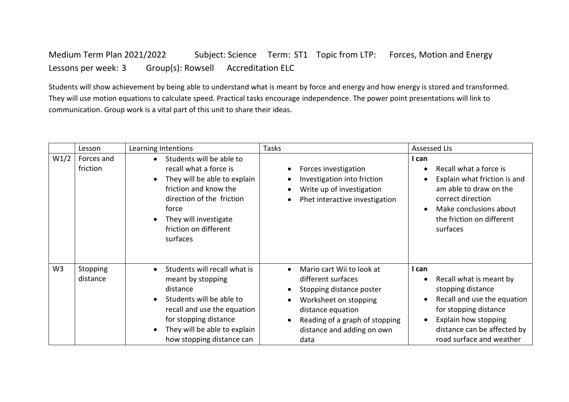Medium Term Plan 2021/2022 Subject: Science Term: ST1 Topic from LTP: Forces, Motion and Energy Lessons per week: 3 Group(s): Rowsell Accreditation ELC

Students will show achievement by being able to understand what is meant by force and energy and how energy is stored and transformed. They will use motion equations to calculate speed. Practical tasks encourage independence. The power point presentations will link to communication. Group work is a vital part of this unit to share their ideas.

|                | Lesson                 | Learning Intentions                                                                                                                                                                                                                                   | <b>Tasks</b>                                                                                                                                                                                                                | <b>Assessed LIs</b>                                                                                                                                                                                                                     |
|----------------|------------------------|-------------------------------------------------------------------------------------------------------------------------------------------------------------------------------------------------------------------------------------------------------|-----------------------------------------------------------------------------------------------------------------------------------------------------------------------------------------------------------------------------|-----------------------------------------------------------------------------------------------------------------------------------------------------------------------------------------------------------------------------------------|
| W1/2           | Forces and<br>friction | Students will be able to<br>$\bullet$<br>recall what a force is<br>They will be able to explain<br>$\bullet$<br>friction and know the<br>direction of the friction<br>force<br>They will investigate<br>friction on different<br>surfaces             | Forces investigation<br>$\bullet$<br>Investigation into friction<br>$\bullet$<br>Write up of investigation<br>$\bullet$<br>Phet interactive investigation                                                                   | I can<br>Recall what a force is<br>$\bullet$<br>Explain what friction is and<br>$\bullet$<br>am able to draw on the<br>correct direction<br>Make conclusions about<br>$\bullet$<br>the friction on different<br>surfaces                |
| W <sub>3</sub> | Stopping<br>distance   | Students will recall what is<br>$\bullet$<br>meant by stopping<br>distance<br>Students will be able to<br>$\bullet$<br>recall and use the equation<br>for stopping distance<br>They will be able to explain<br>$\bullet$<br>how stopping distance can | Mario cart Wii to look at<br>different surfaces<br>Stopping distance poster<br>$\bullet$<br>Worksheet on stopping<br>$\bullet$<br>distance equation<br>Reading of a graph of stopping<br>distance and adding on own<br>data | I can<br>Recall what is meant by<br>$\bullet$<br>stopping distance<br>Recall and use the equation<br>$\bullet$<br>for stopping distance<br>Explain how stopping<br>$\bullet$<br>distance can be affected by<br>road surface and weather |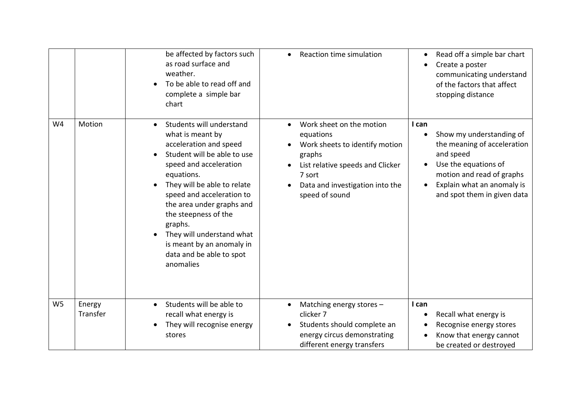|                |                    | be affected by factors such<br>as road surface and<br>weather.<br>To be able to read off and<br>complete a simple bar<br>chart                                                                                                                                                                                                                                                                                      | Reaction time simulation                                                                                                                                                             | Read off a simple bar chart<br>Create a poster<br>communicating understand<br>of the factors that affect<br>stopping distance                                                                                |
|----------------|--------------------|---------------------------------------------------------------------------------------------------------------------------------------------------------------------------------------------------------------------------------------------------------------------------------------------------------------------------------------------------------------------------------------------------------------------|--------------------------------------------------------------------------------------------------------------------------------------------------------------------------------------|--------------------------------------------------------------------------------------------------------------------------------------------------------------------------------------------------------------|
| W <sub>4</sub> | Motion             | Students will understand<br>$\bullet$<br>what is meant by<br>acceleration and speed<br>Student will be able to use<br>$\bullet$<br>speed and acceleration<br>equations.<br>They will be able to relate<br>speed and acceleration to<br>the area under graphs and<br>the steepness of the<br>graphs.<br>They will understand what<br>$\bullet$<br>is meant by an anomaly in<br>data and be able to spot<br>anomalies | Work sheet on the motion<br>equations<br>Work sheets to identify motion<br>graphs<br>List relative speeds and Clicker<br>7 sort<br>Data and investigation into the<br>speed of sound | I can<br>Show my understanding of<br>$\bullet$<br>the meaning of acceleration<br>and speed<br>Use the equations of<br>motion and read of graphs<br>Explain what an anomaly is<br>and spot them in given data |
| W <sub>5</sub> | Energy<br>Transfer | Students will be able to<br>$\bullet$<br>recall what energy is<br>They will recognise energy<br>stores                                                                                                                                                                                                                                                                                                              | Matching energy stores -<br>$\bullet$<br>clicker 7<br>Students should complete an<br>energy circus demonstrating<br>different energy transfers                                       | I can<br>Recall what energy is<br>Recognise energy stores<br>Know that energy cannot<br>be created or destroyed                                                                                              |